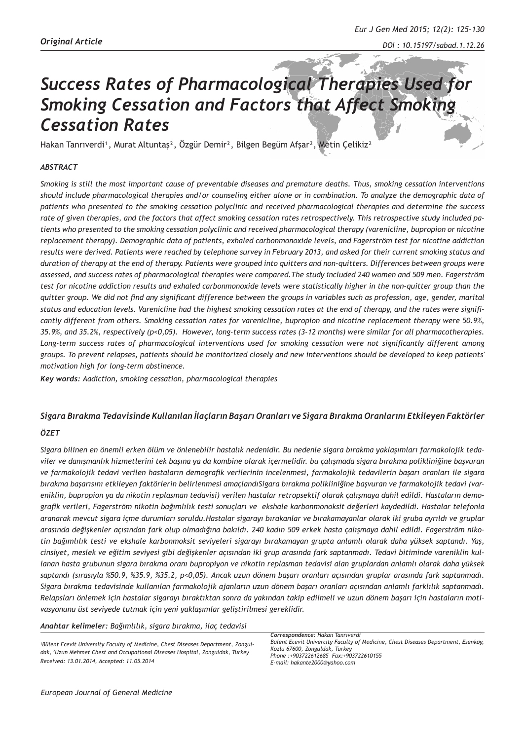# *Success Rates of Pharmacological Therapies Used for Smoking Cessation and Factors that Affect Smoking Cessation Rates*

Hakan Tanrıverdi<sup>1</sup>, Murat Altuntaş<sup>2</sup>, Özgür Demir<sup>2</sup>, Bilgen Begüm Afşar<sup>2</sup>, Metin Çelikiz<sup>2</sup>

### *ABSTRACT*

*Smoking is still the most important cause of preventable diseases and premature deaths. Thus, smoking cessation interventions should include pharmacological therapies and/or counseling either alone or in combination. To analyze the demographic data of patients who presented to the smoking cessation polyclinic and received pharmacological therapies and determine the success rate of given therapies, and the factors that affect smoking cessation rates retrospectively. This retrospective study included patients who presented to the smoking cessation polyclinic and received pharmacological therapy (varenicline, bupropion or nicotine replacement therapy). Demographic data of patients, exhaled carbonmonoxide levels, and Fagerström test for nicotine addiction results were derived. Patients were reached by telephone survey in February 2013, and asked for their current smoking status and duration of therapy at the end of therapy. Patients were grouped into quitters and non-quitters. Differences between groups were assessed, and success rates of pharmacological therapies were compared.The study included 240 women and 509 men. Fagerström test for nicotine addiction results and exhaled carbonmonoxide levels were statistically higher in the non-quitter group than the quitter group. We did not find any significant difference between the groups in variables such as profession, age, gender, marital status and education levels. Varenicline had the highest smoking cessation rates at the end of therapy, and the rates were significantly different from others. Smoking cessation rates for varenicline, bupropion and nicotine replacement therapy were 50.9%, 35.9%, and 35.2%, respectively (p<0,05). However, long-term success rates (3-12 months) were similar for all pharmacotherapies. Long-term success rates of pharmacological interventions used for smoking cessation were not significantly different among groups. To prevent relapses, patients should be monitorized closely and new interventions should be developed to keep patients' motivation high for long-term abstinence.*

*Key words: Aadiction, smoking cessation, pharmacological therapies* 

# *Sigara Bırakma Tedavisinde Kullanılan İlaçların Başarı Oranları ve Sigara Bırakma Oranlarını Etkileyen Faktörler*

#### *ÖZET*

*Sigara bilinen en önemli erken ölüm ve önlenebilir hastalık nedenidir. Bu nedenle sigara bırakma yaklaşımları farmakolojik tedaviler ve danışmanlık hizmetlerini tek başına ya da kombine olarak içermelidir. bu çalışmada sigara bırakma polikliniğine başvuran ve farmakolojik tedavi verilen hastaların demografik verilerinin incelenmesi, farmakolojik tedavilerin başarı oranları ile sigara bırakma başarısını etkileyen faktörlerin belirlenmesi amaçlandıSigara bırakma polikliniğine başvuran ve farmakolojik tedavi (vareniklin, bupropion ya da nikotin replasman tedavisi) verilen hastalar retropsektif olarak çalışmaya dahil edildi. Hastaların demografik verileri, Fagerström nikotin bağımlılık testi sonuçları ve ekshale karbonmonoksit değerleri kaydedildi. Hastalar telefonla aranarak mevcut sigara içme durumları soruldu.Hastalar sigarayı bırakanlar ve bırakamayanlar olarak iki gruba ayrıldı ve gruplar arasında değişkenler açısından fark olup olmadığına bakıldı. 240 kadın 509 erkek hasta çalışmaya dahil edildi. Fagerström nikotin bağımlılık testi ve ekshale karbonmoksit seviyeleri sigarayı bırakamayan grupta anlamlı olarak daha yüksek saptandı. Yaş, cinsiyet, meslek ve eğitim seviyesi gibi değişkenler açısından iki grup arasında fark saptanmadı. Tedavi bitiminde vareniklin kullanan hasta grubunun sigara bırakma oranı bupropiyon ve nikotin replasman tedavisi alan gruplardan anlamlı olarak daha yüksek saptandı (sırasıyla %50.9, %35.9, %35.2, p<0,05). Ancak uzun dönem başarı oranları açısından gruplar arasında fark saptanmadı. Sigara bırakma tedavisinde kullanılan farmakolojik ajanların uzun dönem başarı oranları açısından anlamlı farklılık saptanmadı. Relapsları önlemek için hastalar sigarayı bıraktıktan sonra da yakından takip edilmeli ve uzun dönem başarı için hastaların motivasyonunu üst seviyede tutmak için yeni yaklaşımlar geliştirilmesi gereklidir.*

*Anahtar kelimeler: Bağımlılık, sigara bırakma, ilaç tedavisi*

*1 Bülent Ecevit University Faculty of Medicine, Chest Diseases Department, Zonguldak, 2 Uzun Mehmet Chest and Occupational Diseases Hospital, Zonguldak, Turkey Received: 13.01.2014, Accepted: 11.05.2014*

*Correspondence: Hakan Tanrıverdi Bülent Ecevit Univercity Faculty of Medicine, Chest Diseases Department, Esenköy, Kozlu 67600, Zonguldak, Turkey Phone :+903722612685 Fax:+903722610155 E-mail: hakante2000@yahoo.com*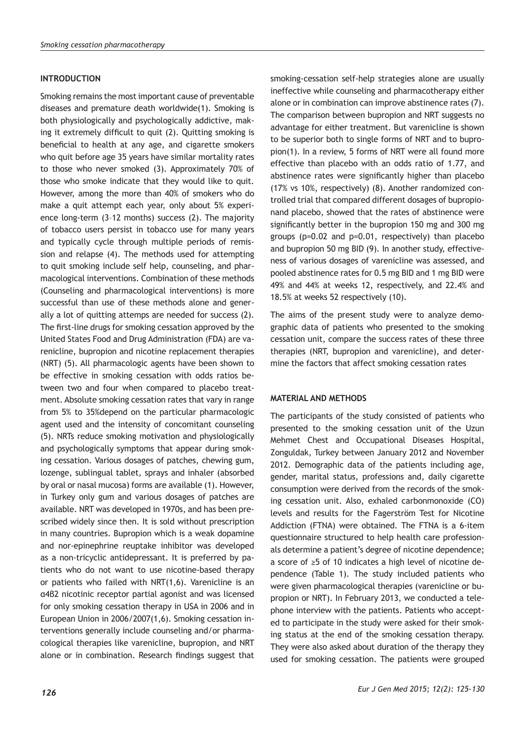## **INTRODUCTION**

Smoking remains the most important cause of preventable diseases and premature death worldwide(1). Smoking is both physiologically and psychologically addictive, making it extremely difficult to quit (2). Quitting smoking is beneficial to health at any age, and cigarette smokers who quit before age 35 years have similar mortality rates to those who never smoked (3). Approximately 70% of those who smoke indicate that they would like to quit. However, among the more than 40% of smokers who do make a quit attempt each year, only about 5% experience long-term (3–12 months) success (2). The majority of tobacco users persist in tobacco use for many years and typically cycle through multiple periods of remission and relapse (4). The methods used for attempting to quit smoking include self help, counseling, and pharmacological interventions. Combination of these methods (Counseling and pharmacological interventions) is more successful than use of these methods alone and generally a lot of quitting attemps are needed for success (2). The first-line drugs for smoking cessation approved by the United States Food and Drug Administration (FDA) are varenicline, bupropion and nicotine replacement therapies (NRT) (5). All pharmacologic agents have been shown to be effective in smoking cessation with odds ratios between two and four when compared to placebo treatment. Absolute smoking cessation rates that vary in range from 5% to 35%depend on the particular pharmacologic agent used and the intensity of concomitant counseling (5). NRTs reduce smoking motivation and physiologically and psychologically symptoms that appear during smoking cessation. Various dosages of patches, chewing gum, lozenge, sublingual tablet, sprays and inhaler (absorbed by oral or nasal mucosa) forms are available (1). However, in Turkey only gum and various dosages of patches are available. NRT was developed in 1970s, and has been prescribed widely since then. It is sold without prescription in many countries. Bupropion which is a weak dopamine and nor-epinephrine reuptake inhibitor was developed as a non-tricyclic antidepressant. It is preferred by patients who do not want to use nicotine-based therapy or patients who failed with NRT(1,6). Varenicline is an α4β2 nicotinic receptor partial agonist and was licensed for only smoking cessation therapy in USA in 2006 and in European Union in 2006/2007(1,6). Smoking cessation interventions generally include counseling and/or pharmacological therapies like varenicline, bupropion, and NRT alone or in combination. Research findings suggest that

smoking-cessation self-help strategies alone are usually ineffective while counseling and pharmacotherapy either alone or in combination can improve abstinence rates (7). The comparison between bupropion and NRT suggests no advantage for either treatment. But varenicline is shown to be superior both to single forms of NRT and to bupropion(1). In a review, 5 forms of NRT were all found more effective than placebo with an odds ratio of 1.77, and abstinence rates were significantly higher than placebo (17% vs 10%, respectively) (8). Another randomized controlled trial that compared different dosages of bupropionand placebo, showed that the rates of abstinence were significantly better in the bupropion 150 mg and 300 mg groups (p=0.02 and p=0.01, respectively) than placebo and bupropion 50 mg BID (9). In another study, effectiveness of various dosages of varenicline was assessed, and pooled abstinence rates for 0.5 mg BID and 1 mg BID were 49% and 44% at weeks 12, respectively, and 22.4% and 18.5% at weeks 52 respectively (10).

The aims of the present study were to analyze demographic data of patients who presented to the smoking cessation unit, compare the success rates of these three therapies (NRT, bupropion and varenicline), and determine the factors that affect smoking cessation rates

## **MATERIAL AND METHODS**

The participants of the study consisted of patients who presented to the smoking cessation unit of the Uzun Mehmet Chest and Occupational Diseases Hospital, Zonguldak, Turkey between January 2012 and November 2012. Demographic data of the patients including age, gender, marital status, professions and, daily cigarette consumption were derived from the records of the smoking cessation unit. Also, exhaled carbonmonoxide (CO) levels and results for the Fagerström Test for Nicotine Addiction (FTNA) were obtained. The FTNA is a 6-item questionnaire structured to help health care professionals determine a patient's degree of nicotine dependence; a score of ≥5 of 10 indicates a high level of nicotine dependence (Table 1). The study included patients who were given pharmacological therapies (varenicline or bupropion or NRT). In February 2013, we conducted a telephone interview with the patients. Patients who accepted to participate in the study were asked for their smoking status at the end of the smoking cessation therapy. They were also asked about duration of the therapy they used for smoking cessation. The patients were grouped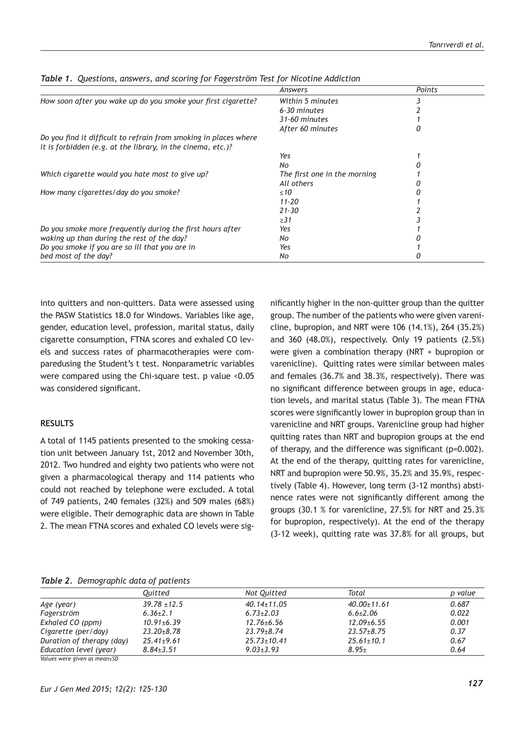|                                                                                                                                 | Answers                      | Points |  |
|---------------------------------------------------------------------------------------------------------------------------------|------------------------------|--------|--|
| How soon after you wake up do you smoke your first cigarette?                                                                   | Within 5 minutes             |        |  |
|                                                                                                                                 | 6-30 minutes                 |        |  |
|                                                                                                                                 | 31-60 minutes                |        |  |
|                                                                                                                                 | After 60 minutes             |        |  |
| Do you find it difficult to refrain from smoking in places where<br>it is forbidden (e.g. at the library, in the cinema, etc.)? |                              |        |  |
|                                                                                                                                 | Yes                          |        |  |
|                                                                                                                                 | No                           |        |  |
| Which cigarette would you hate most to give up?                                                                                 | The first one in the morning |        |  |
|                                                                                                                                 | All others                   |        |  |
| How many cigarettes/day do you smoke?                                                                                           | $\leq 10$                    |        |  |
|                                                                                                                                 | $11 - 20$                    |        |  |
|                                                                                                                                 | $21 - 30$                    |        |  |
|                                                                                                                                 | $\geq$ 31                    |        |  |
| Do you smoke more frequently during the first hours after                                                                       | Yes                          |        |  |
| waking up than during the rest of the day?                                                                                      | No.                          |        |  |
| Do you smoke if you are so ill that you are in                                                                                  | Yes                          |        |  |
| bed most of the day?                                                                                                            | No                           |        |  |

*Table 1. Questions, answers, and scoring for Fagerström Test for Nicotine Addiction*

into quitters and non-quitters. Data were assessed using the PASW Statistics 18.0 for Windows. Variables like age, gender, education level, profession, marital status, daily cigarette consumption, FTNA scores and exhaled CO levels and success rates of pharmacotherapies were comparedusing the Student's t test. Nonparametric variables were compared using the Chi-square test. p value <0.05 was considered significant.

## **RESULTS**

A total of 1145 patients presented to the smoking cessation unit between January 1st, 2012 and November 30th, 2012. Two hundred and eighty two patients who were not given a pharmacological therapy and 114 patients who could not reached by telephone were excluded. A total of 749 patients, 240 females (32%) and 509 males (68%) were eligible. Their demographic data are shown in Table 2. The mean FTNA scores and exhaled CO levels were sig-

nificantly higher in the non-quitter group than the quitter group. The number of the patients who were given varenicline, bupropion, and NRT were 106 (14.1%), 264 (35.2%) and 360 (48.0%), respectively. Only 19 patients (2.5%) were given a combination therapy (NRT + bupropion or varenicline). Quitting rates were similar between males and females (36.7% and 38.3%, respectively). There was no significant difference between groups in age, education levels, and marital status (Table 3). The mean FTNA scores were significantly lower in bupropion group than in varenicline and NRT groups. Varenicline group had higher quitting rates than NRT and bupropion groups at the end of therapy, and the difference was significant (p=0.002). At the end of the therapy, quitting rates for varenicline, NRT and bupropion were 50.9%, 35.2% and 35.9%, respectively (Table 4). However, long term (3-12 months) abstinence rates were not significantly different among the groups (30.1 % for varenicline, 27.5% for NRT and 25.3% for bupropion, respectively). At the end of the therapy (3-12 week), quitting rate was 37.8% for all groups, but

#### *Table 2. Demographic data of patients*

|                              | Ouitted          | Not Quitted       | Total             | p value |
|------------------------------|------------------|-------------------|-------------------|---------|
| Age (year)                   | $39.78 \pm 12.5$ | $40.14 \pm 11.05$ | $40.00 \pm 11.61$ | 0.687   |
| Fagerström                   | $6.36 \pm 2.1$   | $6.73 \pm 2.03$   | $6.6 \pm 2.06$    | 0.022   |
| Exhaled CO (ppm)             | $10.91 \pm 6.39$ | $12.76 \pm 6.56$  | $12.09 \pm 6.55$  | 0.001   |
| Cigarette (per/day)          | $23.20 \pm 8.78$ | $23.79 \pm 8.74$  | $23.57 \pm 8.75$  | 0.37    |
| Duration of therapy (day)    | $25.41 \pm 9.61$ | $25.73 \pm 10.41$ | $25.61 \pm 10.1$  | 0.67    |
| Education level (year)       | $8.84 \pm 3.51$  | $9.03 + 3.93$     | $8.95 \pm$        | 0.64    |
| Values were given as mean+SD |                  |                   |                   |         |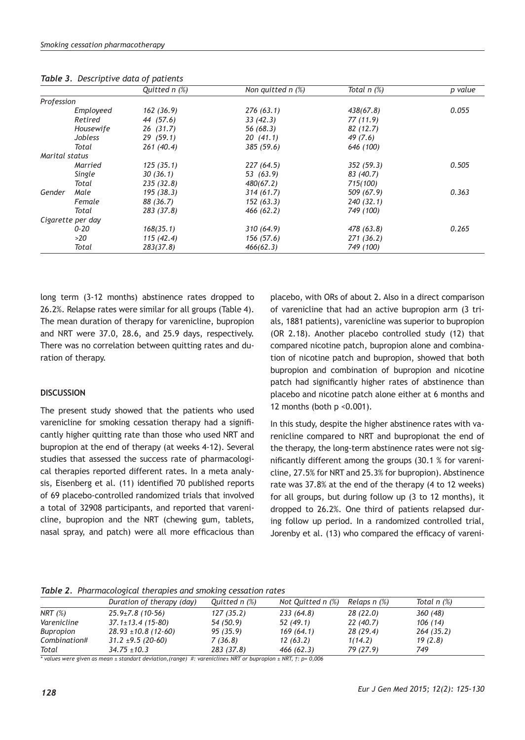|                |                   | Quitted n (%) | Non quitted $n$ (%) | Total $n$ $(\%)$ | p value |
|----------------|-------------------|---------------|---------------------|------------------|---------|
| Profession     |                   |               |                     |                  |         |
|                | Employeed         | 162(36.9)     | 276 (63.1)          | 438(67.8)        | 0.055   |
|                | Retired           | 44 (57.6)     | 33(42.3)            | 77(11.9)         |         |
|                | Housewife         | 26(31.7)      | 56 (68.3)           | 82(12.7)         |         |
|                | Jobless           | 29(59.1)      | 20(41.1)            | 49 (7.6)         |         |
|                | Total             | 261(40.4)     | 385(59.6)           | 646 (100)        |         |
| Marital status |                   |               |                     |                  |         |
|                | Married           | 125(35.1)     | 227(64.5)           | 352(59.3)        | 0.505   |
|                | Single            | 30(36.1)      | 53 (63.9)           | 83 (40.7)        |         |
|                | Total             | 235(32.8)     | 480(67.2)           | 715(100)         |         |
| Gender         | Male              | 195 (38.3)    | 314 (61.7)          | 509 (67.9)       | 0.363   |
|                | Female            | 88 (36.7)     | 152(63.3)           | 240 (32.1)       |         |
|                | Total             | 283 (37.8)    | 466 (62.2)          | 749 (100)        |         |
|                | Cigarette per day |               |                     |                  |         |
|                | $0 - 20$          | 168(35.1)     | 310(64.9)           | 478 (63.8)       | 0.265   |
|                | >20               | 115(42.4)     | 156(57.6)           | 271(36.2)        |         |
|                | Total             | 283(37.8)     | 466(62.3)           | 749 (100)        |         |

*Table 3. Descriptive data of patients*

long term (3-12 months) abstinence rates dropped to 26.2%. Relapse rates were similar for all groups (Table 4). The mean duration of therapy for varenicline, bupropion and NRT were 37.0, 28.6, and 25.9 days, respectively. There was no correlation between quitting rates and duration of therapy.

# **DISCUSSION**

The present study showed that the patients who used varenicline for smoking cessation therapy had a significantly higher quitting rate than those who used NRT and bupropion at the end of therapy (at weeks 4-12). Several studies that assessed the success rate of pharmacological therapies reported different rates. In a meta analysis, Eisenberg et al. (11) identified 70 published reports of 69 placebo-controlled randomized trials that involved a total of 32908 participants, and reported that varenicline, bupropion and the NRT (chewing gum, tablets, nasal spray, and patch) were all more efficacious than

placebo, with ORs of about 2. Also in a direct comparison of varenicline that had an active bupropion arm (3 trials, 1881 patients), varenicline was superior to bupropion (OR 2.18). Another placebo controlled study (12) that compared nicotine patch, bupropion alone and combination of nicotine patch and bupropion, showed that both bupropion and combination of bupropion and nicotine patch had significantly higher rates of abstinence than placebo and nicotine patch alone either at 6 months and 12 months (both  $p \le 0.001$ ).

In this study, despite the higher abstinence rates with varenicline compared to NRT and bupropionat the end of the therapy, the long-term abstinence rates were not significantly different among the groups (30.1 % for varenicline, 27.5% for NRT and 25.3% for bupropion). Abstinence rate was 37.8% at the end of the therapy (4 to 12 weeks) for all groups, but during follow up (3 to 12 months), it dropped to 26.2%. One third of patients relapsed during follow up period. In a randomized controlled trial, Jorenby et al. (13) who compared the efficacy of vareni-

*Table 2. Pharmacological therapies and smoking cessation rates* 

|              | Duration of therapy (day) | Quitted n (%) | Not Quitted $n$ (%) | Relaps n (%) | Total $n$ (%) |  |
|--------------|---------------------------|---------------|---------------------|--------------|---------------|--|
| NRT $(\%)$   | $25.9 \pm 7.8$ (10-56)    | 127(35.2)     | 233 (64.8)          | 28 (22.0)    | 360 (48)      |  |
| Varenicline  | $37.1 \pm 13.4$ (15-80)   | 54 (50.9)     | 52 (49.1)           | 22 (40.7)    | 106 (14)      |  |
| Bupropion    | $28.93 \pm 10.8$ (12-60)  | 95 (35.9)     | 169(64.1)           | 28 (29.4)    | 264(35.2)     |  |
| Combination# | $31.2 \pm 9.5$ (20-60)    | 7 (36.8)      | 12(63.2)            | 1(14.2)      | 19(2.8)       |  |
| Total        | $34.75 \pm 10.3$          | 283 (37.8)    | 466(62.3)           | 79 (27.9)    | 749           |  |

*\* values were given as mean ± standart deviation,(range) #: varenicline± NRT or bupropion ± NRT, †: p= 0,006*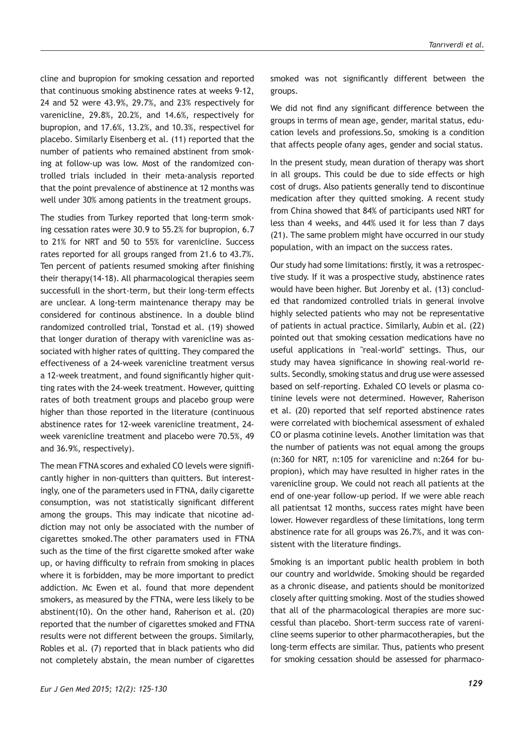cline and bupropion for smoking cessation and reported that continuous smoking abstinence rates at weeks 9-12, 24 and 52 were 43.9%, 29.7%, and 23% respectively for varenicline, 29.8%, 20.2%, and 14.6%, respectively for bupropion, and 17.6%, 13.2%, and 10.3%, respectivel for placebo. Similarly Eisenberg et al. (11) reported that the number of patients who remained abstinent from smoking at follow-up was low. Most of the randomized controlled trials included in their meta-analysis reported that the point prevalence of abstinence at 12 months was well under 30% among patients in the treatment groups.

The studies from Turkey reported that long-term smoking cessation rates were 30.9 to 55.2% for bupropion, 6.7 to 21% for NRT and 50 to 55% for varenicline. Success rates reported for all groups ranged from 21.6 to 43.7%. Ten percent of patients resumed smoking after finishing their therapy(14-18). All pharmacological therapies seem successfull in the short-term, but their long-term effects are unclear. A long-term maintenance therapy may be considered for continous abstinence. In a double blind randomized controlled trial, Tonstad et al. (19) showed that longer duration of therapy with varenicline was associated with higher rates of quitting. They compared the effectiveness of a 24-week varenicline treatment versus a 12-week treatment, and found significantly higher quitting rates with the 24-week treatment. However, quitting rates of both treatment groups and placebo group were higher than those reported in the literature (continuous abstinence rates for 12-week varenicline treatment, 24 week varenicline treatment and placebo were 70.5%, 49 and 36.9%, respectively).

The mean FTNA scores and exhaled CO levels were significantly higher in non-quitters than quitters. But interestingly, one of the parameters used in FTNA, daily cigarette consumption, was not statistically significant different among the groups. This may indicate that nicotine addiction may not only be associated with the number of cigarettes smoked.The other paramaters used in FTNA such as the time of the first cigarette smoked after wake up, or having difficulty to refrain from smoking in places where it is forbidden, may be more important to predict addiction. Mc Ewen et al. found that more dependent smokers, as measured by the FTNA, were less likely to be abstinent(10). On the other hand, Raherison et al. (20) reported that the number of cigarettes smoked and FTNA results were not different between the groups. Similarly, Robles et al. (7) reported that in black patients who did not completely abstain, the mean number of cigarettes

smoked was not significantly different between the groups.

We did not find any significant difference between the groups in terms of mean age, gender, marital status, education levels and professions.So, smoking is a condition that affects people ofany ages, gender and social status.

In the present study, mean duration of therapy was short in all groups. This could be due to side effects or high cost of drugs. Also patients generally tend to discontinue medication after they quitted smoking. A recent study from China showed that 84% of participants used NRT for less than 4 weeks, and 44% used it for less than 7 days (21). The same problem might have occurred in our study population, with an impact on the success rates.

Our study had some limitations: firstly, it was a retrospective study. If it was a prospective study, abstinence rates would have been higher. But Jorenby et al. (13) concluded that randomized controlled trials in general involve highly selected patients who may not be representative of patients in actual practice. Similarly, Aubin et al. (22) pointed out that smoking cessation medications have no useful applications in "real-world" settings. Thus, our study may havea significance in showing real-world results. Secondly, smoking status and drug use were assessed based on self-reporting. Exhaled CO levels or plasma cotinine levels were not determined. However, Raherison et al. (20) reported that self reported abstinence rates were correlated with biochemical assessment of exhaled CO or plasma cotinine levels. Another limitation was that the number of patients was not equal among the groups (n:360 for NRT, n:105 for varenicline and n:264 for bupropion), which may have resulted in higher rates in the varenicline group. We could not reach all patients at the end of one-year follow-up period. If we were able reach all patientsat 12 months, success rates might have been lower. However regardless of these limitations, long term abstinence rate for all groups was 26.7%, and it was consistent with the literature findings.

Smoking is an important public health problem in both our country and worldwide. Smoking should be regarded as a chronic disease, and patients should be monitorized closely after quitting smoking. Most of the studies showed that all of the pharmacological therapies are more successful than placebo. Short-term success rate of varenicline seems superior to other pharmacotherapies, but the long-term effects are similar. Thus, patients who present for smoking cessation should be assessed for pharmaco